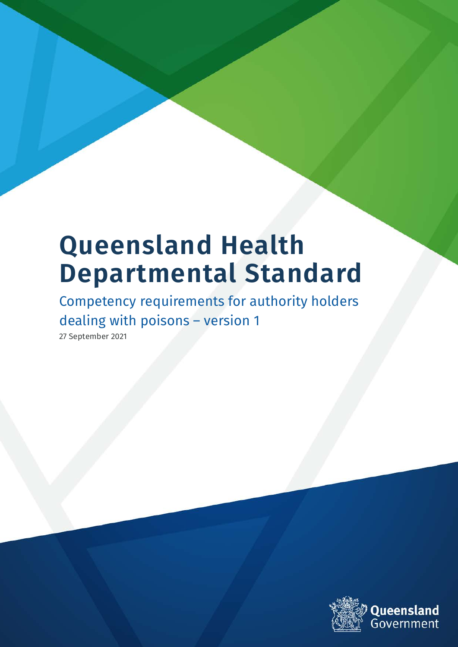# **Queensland Health Departmental Standard**

Competency requirements for authority holders dealing with poisons – version 1

27 September 2021

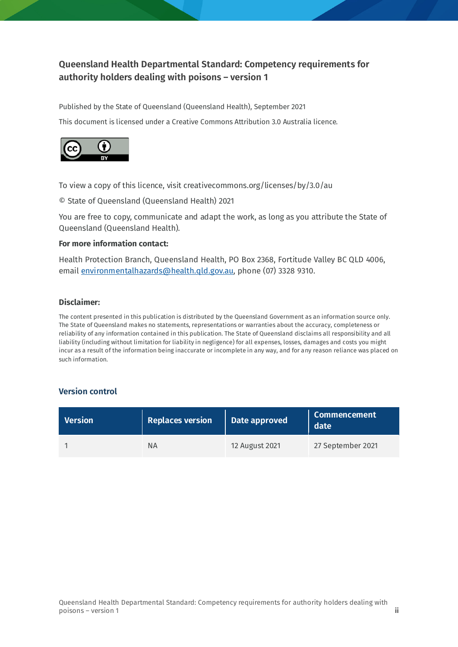#### **Queensland Health Departmental Standard: Competency requirements for authority holders dealing with poisons – version 1**

Published by the State of Queensland (Queensland Health), September 2021

This document is licensed under a Creative Commons Attribution 3.0 Australia licence.



To view a copy of this licence, visit creativecommons.org/licenses/by/3.0/au

© State of Queensland (Queensland Health) 2021

You are free to copy, communicate and adapt the work, as long as you attribute the State of Queensland (Queensland Health).

#### **For more information contact:**

Health Protection Branch, Queensland Health, PO Box 2368, Fortitude Valley BC QLD 4006, email [environmentalhazards@health.qld.gov.au,](mailto:environmentalhazards@health.qld.gov.au) phone (07) 3328 9310.

#### **Disclaimer:**

The content presented in this publication is distributed by the Queensland Government as an information source only. The State of Queensland makes no statements, representations or warranties about the accuracy, completeness or reliability of any information contained in this publication. The State of Queensland disclaims all responsibility and all liability (including without limitation for liability in negligence) for all expenses, losses, damages and costs you might incur as a result of the information being inaccurate or incomplete in any way, and for any reason reliance was placed on such information.

#### **Version control**

| <b>Version</b> | Replaces version | Date approved  | Commencement<br>date |
|----------------|------------------|----------------|----------------------|
|                | ΝA               | 12 August 2021 | 27 September 2021    |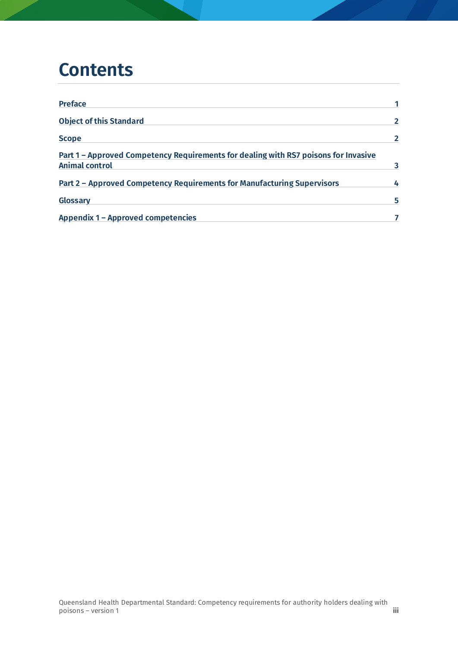### **Contents**

| <b>Preface</b>                                                                                               |   |
|--------------------------------------------------------------------------------------------------------------|---|
| <b>Object of this Standard</b>                                                                               |   |
| <b>Scope</b>                                                                                                 |   |
| Part 1 - Approved Competency Requirements for dealing with RS7 poisons for Invasive<br><b>Animal control</b> |   |
| Part 2 - Approved Competency Requirements for Manufacturing Supervisors                                      | 4 |
| Glossary                                                                                                     | 5 |
| <b>Appendix 1 - Approved competencies</b>                                                                    |   |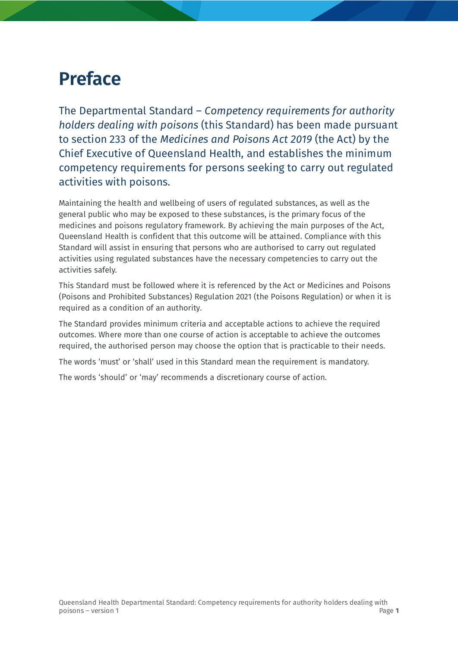### <span id="page-3-0"></span>**Preface**

The Departmental Standard – *Competency requirements for authority holders dealing with poisons* (this Standard) has been made pursuant to section 233 of the *Medicines and Poisons Act 2019* (the Act) by the Chief Executive of Queensland Health, and establishes the minimum competency requirements for persons seeking to carry out regulated activities with poisons.

Maintaining the health and wellbeing of users of regulated substances, as well as the general public who may be exposed to these substances, is the primary focus of the medicines and poisons regulatory framework. By achieving the main purposes of the Act, Queensland Health is confident that this outcome will be attained. Compliance with this Standard will assist in ensuring that persons who are authorised to carry out regulated activities using regulated substances have the necessary competencies to carry out the activities safely.

This Standard must be followed where it is referenced by the Act or Medicines and Poisons (Poisons and Prohibited Substances) Regulation 2021 (the Poisons Regulation) or when it is required as a condition of an authority.

The Standard provides minimum criteria and acceptable actions to achieve the required outcomes. Where more than one course of action is acceptable to achieve the outcomes required, the authorised person may choose the option that is practicable to their needs.

The words 'must' or 'shall' used in this Standard mean the requirement is mandatory.

The words 'should' or 'may' recommends a discretionary course of action.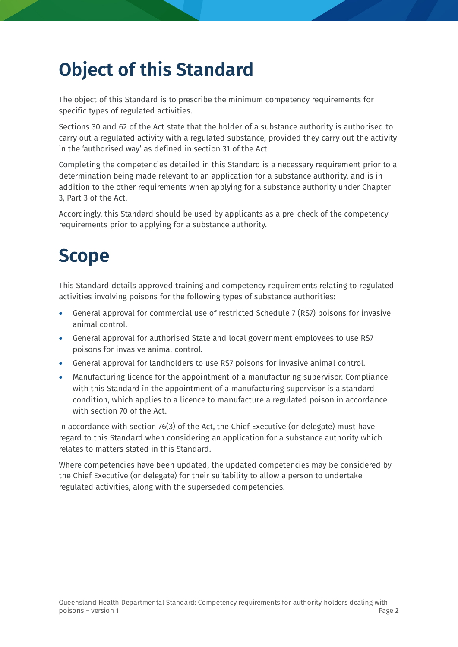## <span id="page-4-0"></span>**Object of this Standard**

The object of this Standard is to prescribe the minimum competency requirements for specific types of regulated activities.

Sections 30 and 62 of the Act state that the holder of a substance authority is authorised to carry out a regulated activity with a regulated substance, provided they carry out the activity in the 'authorised way' as defined in section 31 of the Act.

Completing the competencies detailed in this Standard is a necessary requirement prior to a determination being made relevant to an application for a substance authority, and is in addition to the other requirements when applying for a substance authority under Chapter 3, Part 3 of the Act.

Accordingly, this Standard should be used by applicants as a pre-check of the competency requirements prior to applying for a substance authority.

## <span id="page-4-1"></span>**Scope**

This Standard details approved training and competency requirements relating to regulated activities involving poisons for the following types of substance authorities:

- General approval for commercial use of restricted Schedule 7 (RS7) poisons for invasive animal control.
- General approval for authorised State and local government employees to use RS7 poisons for invasive animal control.
- General approval for landholders to use RS7 poisons for invasive animal control.
- Manufacturing licence for the appointment of a manufacturing supervisor. Compliance with this Standard in the appointment of a manufacturing supervisor is a standard condition, which applies to a licence to manufacture a regulated poison in accordance with section 70 of the Act.

In accordance with section 76(3) of the Act, the Chief Executive (or delegate) must have regard to this Standard when considering an application for a substance authority which relates to matters stated in this Standard.

Where competencies have been updated, the updated competencies may be considered by the Chief Executive (or delegate) for their suitability to allow a person to undertake regulated activities, along with the superseded competencies.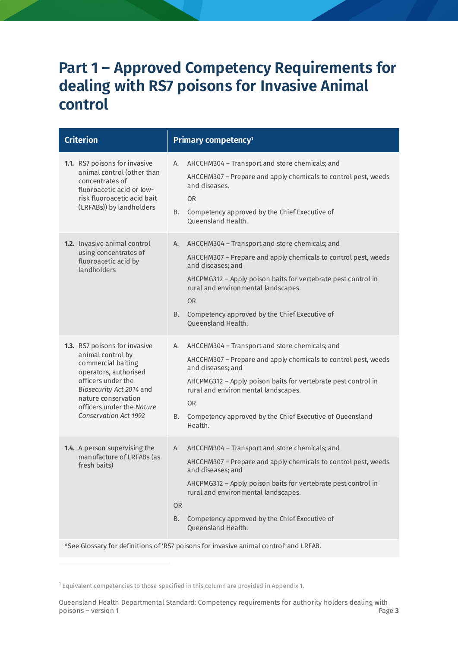#### <span id="page-5-0"></span>**Part 1 – Approved Competency Requirements for dealing with RS7 poisons for Invasive Animal control**

| <b>Criterion</b>                                                                                                                                                                                                                        | Primary competency <sup>1</sup>                                                                                                                                                                                                                                                                                                                                                                                                        |
|-----------------------------------------------------------------------------------------------------------------------------------------------------------------------------------------------------------------------------------------|----------------------------------------------------------------------------------------------------------------------------------------------------------------------------------------------------------------------------------------------------------------------------------------------------------------------------------------------------------------------------------------------------------------------------------------|
| 1.1. RS7 poisons for invasive<br>animal control (other than<br>concentrates of<br>fluoroacetic acid or low-<br>risk fluoroacetic acid bait<br>(LRFABs)) by landholders                                                                  | AHCCHM304 - Transport and store chemicals; and<br>А.<br>AHCCHM307 - Prepare and apply chemicals to control pest, weeds<br>and diseases.<br><b>OR</b><br>Competency approved by the Chief Executive of<br>В.<br><b>Oueensland Health.</b>                                                                                                                                                                                               |
| <b>1.2.</b> Invasive animal control<br>using concentrates of<br>fluoroacetic acid by<br>landholders                                                                                                                                     | AHCCHM304 - Transport and store chemicals; and<br>А.<br>AHCCHM307 - Prepare and apply chemicals to control pest, weeds<br>and diseases; and<br>AHCPMG312 - Apply poison baits for vertebrate pest control in<br>rural and environmental landscapes.<br><b>OR</b><br>Competency approved by the Chief Executive of<br>B.<br><b>Queensland Health.</b>                                                                                   |
| 1.3. RS7 poisons for invasive<br>animal control by<br>commercial baiting<br>operators, authorised<br>officers under the<br>Biosecurity Act 2014 and<br>nature conservation<br>officers under the Nature<br><b>Conservation Act 1992</b> | AHCCHM304 - Transport and store chemicals; and<br>А.<br>AHCCHM307 - Prepare and apply chemicals to control pest, weeds<br>and diseases; and<br>AHCPMG312 - Apply poison baits for vertebrate pest control in<br>rural and environmental landscapes.<br>OR.<br>Competency approved by the Chief Executive of Queensland<br>В.<br>Health.                                                                                                |
| 1.4. A person supervising the<br>manufacture of LRFABs (as<br>fresh baits)                                                                                                                                                              | AHCCHM304 - Transport and store chemicals; and<br>А.<br>AHCCHM307 - Prepare and apply chemicals to control pest, weeds<br>and diseases; and<br>AHCPMG312 - Apply poison baits for vertebrate pest control in<br>rural and environmental landscapes.<br><b>OR</b><br>Competency approved by the Chief Executive of<br>В.<br>Queensland Health.<br>*See Glossary for definitions of 'RS7 poisons for invasive animal control' and LRFAB. |

<span id="page-5-1"></span><sup>1</sup> Equivalent competencies to those specified in this column are provided in Appendix 1.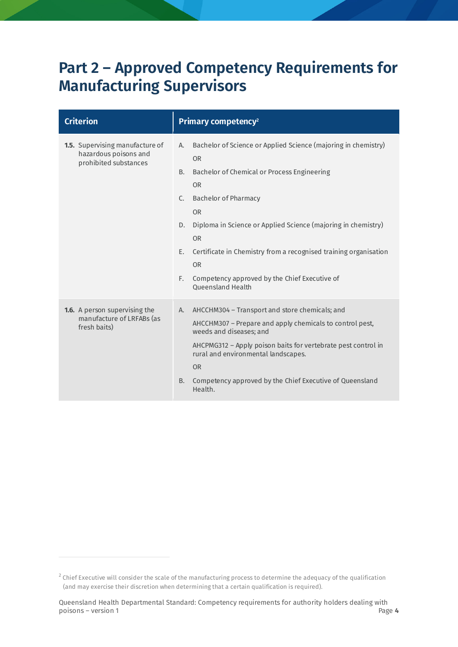### <span id="page-6-0"></span>**Part 2 – Approved Competency Requirements for Manufacturing Supervisors**

| <b>Criterion</b>                                                                         | Primary competency <sup>2</sup>                                                                                                                                                                                                                                                                                                                                                                                                                                     |
|------------------------------------------------------------------------------------------|---------------------------------------------------------------------------------------------------------------------------------------------------------------------------------------------------------------------------------------------------------------------------------------------------------------------------------------------------------------------------------------------------------------------------------------------------------------------|
| <b>1.5.</b> Supervising manufacture of<br>hazardous poisons and<br>prohibited substances | Bachelor of Science or Applied Science (majoring in chemistry)<br>А.<br><b>OR</b><br>Bachelor of Chemical or Process Engineering<br>B.<br><b>OR</b><br><b>Bachelor of Pharmacy</b><br>C.<br><b>OR</b><br>Diploma in Science or Applied Science (majoring in chemistry)<br>D.<br><b>OR</b><br>Certificate in Chemistry from a recognised training organisation<br>E.<br><b>OR</b><br>E.<br>Competency approved by the Chief Executive of<br><b>Oueensland Health</b> |
| <b>1.6.</b> A person supervising the<br>manufacture of LRFABs (as<br>fresh baits)        | AHCCHM304 - Transport and store chemicals; and<br>A.<br>AHCCHM307 - Prepare and apply chemicals to control pest,<br>weeds and diseases; and<br>AHCPMG312 - Apply poison baits for vertebrate pest control in<br>rural and environmental landscapes.<br><b>OR</b><br>Competency approved by the Chief Executive of Queensland<br>B.<br>Health.                                                                                                                       |

<span id="page-6-1"></span> $2$  Chief Executive will consider the scale of the manufacturing process to determine the adequacy of the qualification (and may exercise their discretion when determining that a certain qualification is required).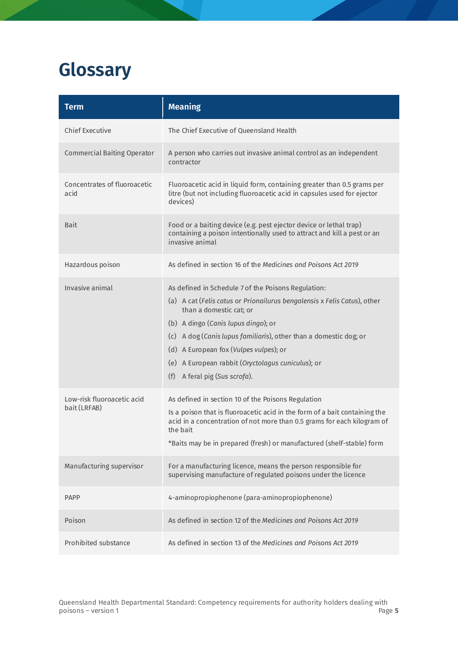## <span id="page-7-0"></span>**Glossary**

| <b>Term</b>                                | <b>Meaning</b>                                                                                                                                                                                                                                                                                                                                                                                            |
|--------------------------------------------|-----------------------------------------------------------------------------------------------------------------------------------------------------------------------------------------------------------------------------------------------------------------------------------------------------------------------------------------------------------------------------------------------------------|
| <b>Chief Executive</b>                     | The Chief Executive of Queensland Health                                                                                                                                                                                                                                                                                                                                                                  |
| <b>Commercial Baiting Operator</b>         | A person who carries out invasive animal control as an independent<br>contractor                                                                                                                                                                                                                                                                                                                          |
| Concentrates of fluoroacetic<br>acid       | Fluoroacetic acid in liquid form, containing greater than 0.5 grams per<br>litre (but not including fluoroacetic acid in capsules used for ejector<br>devices)                                                                                                                                                                                                                                            |
| Bait                                       | Food or a baiting device (e.g. pest ejector device or lethal trap)<br>containing a poison intentionally used to attract and kill a pest or an<br>invasive animal                                                                                                                                                                                                                                          |
| Hazardous poison                           | As defined in section 16 of the Medicines and Poisons Act 2019                                                                                                                                                                                                                                                                                                                                            |
| Invasive animal                            | As defined in Schedule 7 of the Poisons Regulation:<br>(a) A cat (Felis catus or Prionailurus bengalensis x Felis Catus), other<br>than a domestic cat; or<br>(b) A dingo (Canis lupus dingo); or<br>(c) A dog (Canis lupus familiaris), other than a domestic dog; or<br>(d) A European fox (Vulpes vulpes); or<br>(e) A European rabbit (Oryctolagus cuniculus); or<br>(f)<br>A feral pig (Sus scrofa). |
| Low-risk fluoroacetic acid<br>bait (LRFAB) | As defined in section 10 of the Poisons Regulation<br>Is a poison that is fluoroacetic acid in the form of a bait containing the<br>acid in a concentration of not more than 0.5 grams for each kilogram of<br>the bait<br>*Baits may be in prepared (fresh) or manufactured (shelf-stable) form                                                                                                          |
| Manufacturing supervisor                   | For a manufacturing licence, means the person responsible for<br>supervising manufacture of regulated poisons under the licence                                                                                                                                                                                                                                                                           |
| <b>PAPP</b>                                | 4-aminopropiophenone (para-aminopropiophenone)                                                                                                                                                                                                                                                                                                                                                            |
| Poison                                     | As defined in section 12 of the Medicines and Poisons Act 2019                                                                                                                                                                                                                                                                                                                                            |
| Prohibited substance                       | As defined in section 13 of the Medicines and Poisons Act 2019                                                                                                                                                                                                                                                                                                                                            |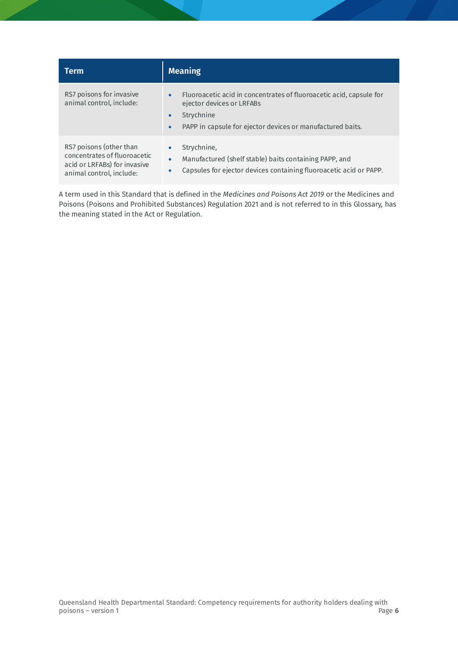| <b>Term</b>                                                                                                         | <b>Meaning</b>                                                                                                                                                                                                      |
|---------------------------------------------------------------------------------------------------------------------|---------------------------------------------------------------------------------------------------------------------------------------------------------------------------------------------------------------------|
| RS7 poisons for invasive<br>animal control, include:                                                                | Fluoroacetic acid in concentrates of fluoroacetic acid, capsule for<br>$\bullet$<br>ejector devices or LRFABs<br>Strychnine<br>$\bullet$<br>PAPP in capsule for ejector devices or manufactured baits.<br>$\bullet$ |
| RS7 poisons (other than<br>concentrates of fluoroacetic<br>acid or LRFABs) for invasive<br>animal control, include: | Strychnine,<br>٠<br>Manufactured (shelf stable) baits containing PAPP, and<br>$\bullet$<br>Capsules for ejector devices containing fluoroacetic acid or PAPP.<br>۰                                                  |

A term used in this Standard that is defined in the *Medicines and Poisons Act 2019* or the Medicines and Poisons (Poisons and Prohibited Substances) Regulation 2021 and is not referred to in this Glossary, has the meaning stated in the Act or Regulation.